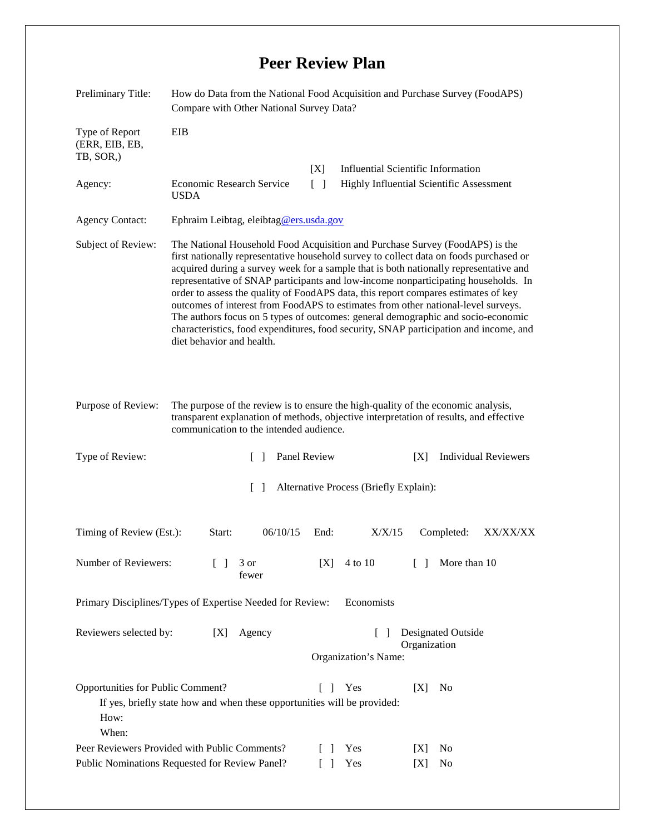## **Peer Review Plan**

| Preliminary Title:                                                                                  | How do Data from the National Food Acquisition and Purchase Survey (FoodAPS)<br>Compare with Other National Survey Data?                                                                                                                                                                                                                                                                                                                                                                                                                                                                                                                                                                                                                   |                                                                          |                                                                            |            |            |                |                             |
|-----------------------------------------------------------------------------------------------------|--------------------------------------------------------------------------------------------------------------------------------------------------------------------------------------------------------------------------------------------------------------------------------------------------------------------------------------------------------------------------------------------------------------------------------------------------------------------------------------------------------------------------------------------------------------------------------------------------------------------------------------------------------------------------------------------------------------------------------------------|--------------------------------------------------------------------------|----------------------------------------------------------------------------|------------|------------|----------------|-----------------------------|
| Type of Report<br>(ERR, EIB, EB,<br>TB, SOR,)                                                       | EIB                                                                                                                                                                                                                                                                                                                                                                                                                                                                                                                                                                                                                                                                                                                                        |                                                                          |                                                                            |            |            |                |                             |
|                                                                                                     |                                                                                                                                                                                                                                                                                                                                                                                                                                                                                                                                                                                                                                                                                                                                            |                                                                          | <b>Influential Scientific Information</b><br>[X]                           |            |            |                |                             |
| Agency:                                                                                             | <b>Economic Research Service</b><br><b>USDA</b>                                                                                                                                                                                                                                                                                                                                                                                                                                                                                                                                                                                                                                                                                            |                                                                          | $\lceil \rceil$<br><b>Highly Influential Scientific Assessment</b>         |            |            |                |                             |
| <b>Agency Contact:</b>                                                                              | Ephraim Leibtag, eleibtag@ers.usda.gov                                                                                                                                                                                                                                                                                                                                                                                                                                                                                                                                                                                                                                                                                                     |                                                                          |                                                                            |            |            |                |                             |
| Subject of Review:                                                                                  | The National Household Food Acquisition and Purchase Survey (FoodAPS) is the<br>first nationally representative household survey to collect data on foods purchased or<br>acquired during a survey week for a sample that is both nationally representative and<br>representative of SNAP participants and low-income nonparticipating households. In<br>order to assess the quality of FoodAPS data, this report compares estimates of key<br>outcomes of interest from FoodAPS to estimates from other national-level surveys.<br>The authors focus on 5 types of outcomes: general demographic and socio-economic<br>characteristics, food expenditures, food security, SNAP participation and income, and<br>diet behavior and health. |                                                                          |                                                                            |            |            |                |                             |
| Purpose of Review:                                                                                  | The purpose of the review is to ensure the high-quality of the economic analysis,<br>transparent explanation of methods, objective interpretation of results, and effective<br>communication to the intended audience.                                                                                                                                                                                                                                                                                                                                                                                                                                                                                                                     |                                                                          |                                                                            |            |            |                |                             |
| Type of Review:                                                                                     |                                                                                                                                                                                                                                                                                                                                                                                                                                                                                                                                                                                                                                                                                                                                            | Panel Review<br>$\Box$                                                   |                                                                            |            | [X]        |                | <b>Individual Reviewers</b> |
| Alternative Process (Briefly Explain):<br>$\Box$                                                    |                                                                                                                                                                                                                                                                                                                                                                                                                                                                                                                                                                                                                                                                                                                                            |                                                                          |                                                                            |            |            |                |                             |
| Timing of Review (Est.):                                                                            | Start:                                                                                                                                                                                                                                                                                                                                                                                                                                                                                                                                                                                                                                                                                                                                     | 06/10/15                                                                 | End:                                                                       | X/X/15     |            | Completed:     | XX/XX/XX                    |
| Number of Reviewers:                                                                                | $\mathsf{L}$                                                                                                                                                                                                                                                                                                                                                                                                                                                                                                                                                                                                                                                                                                                               | 3 or<br>fewer                                                            | [X]                                                                        | 4 to 10    | $\Box$     | More than 10   |                             |
| Primary Disciplines/Types of Expertise Needed for Review:<br>Economists                             |                                                                                                                                                                                                                                                                                                                                                                                                                                                                                                                                                                                                                                                                                                                                            |                                                                          |                                                                            |            |            |                |                             |
| Reviewers selected by:<br>[X]                                                                       |                                                                                                                                                                                                                                                                                                                                                                                                                                                                                                                                                                                                                                                                                                                                            | Agency                                                                   | Designated Outside<br>$\mathbf{I}$<br>Organization<br>Organization's Name: |            |            |                |                             |
| Opportunities for Public Comment?<br>How:<br>When:<br>Peer Reviewers Provided with Public Comments? |                                                                                                                                                                                                                                                                                                                                                                                                                                                                                                                                                                                                                                                                                                                                            | If yes, briefly state how and when these opportunities will be provided: | $\begin{bmatrix} 1 \end{bmatrix}$<br>$\begin{bmatrix} \end{bmatrix}$       | Yes<br>Yes | [X]<br>[X] | No<br>No       |                             |
| Public Nominations Requested for Review Panel?                                                      |                                                                                                                                                                                                                                                                                                                                                                                                                                                                                                                                                                                                                                                                                                                                            |                                                                          |                                                                            | Yes        | [X]        | N <sub>0</sub> |                             |